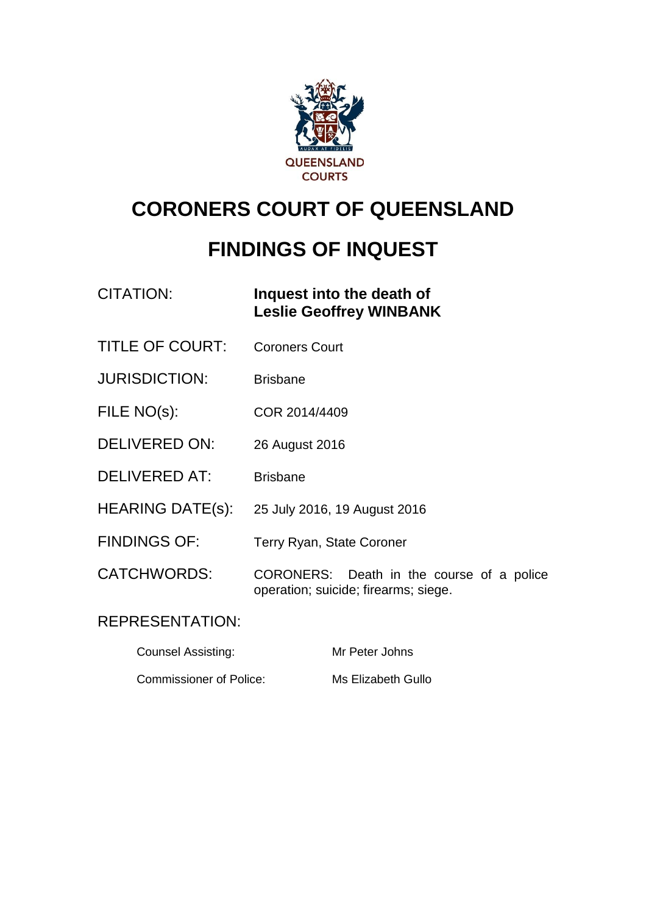

# **CORONERS COURT OF QUEENSLAND**

# **FINDINGS OF INQUEST**

| CITATION: | Inquest into the death of      |
|-----------|--------------------------------|
|           | <b>Leslie Geoffrey WINBANK</b> |

- TITLE OF COURT: Coroners Court
- JURISDICTION: Brisbane
- FILE NO(s): COR 2014/4409
- DELIVERED ON: 26 August 2016
- DELIVERED AT: Brisbane
- HEARING DATE(s): 25 July 2016, 19 August 2016
- FINDINGS OF: Terry Ryan, State Coroner
- CATCHWORDS: CORONERS: Death in the course of a police operation; suicide; firearms; siege.

#### REPRESENTATION:

Counsel Assisting: Mr Peter Johns Commissioner of Police: Ms Elizabeth Gullo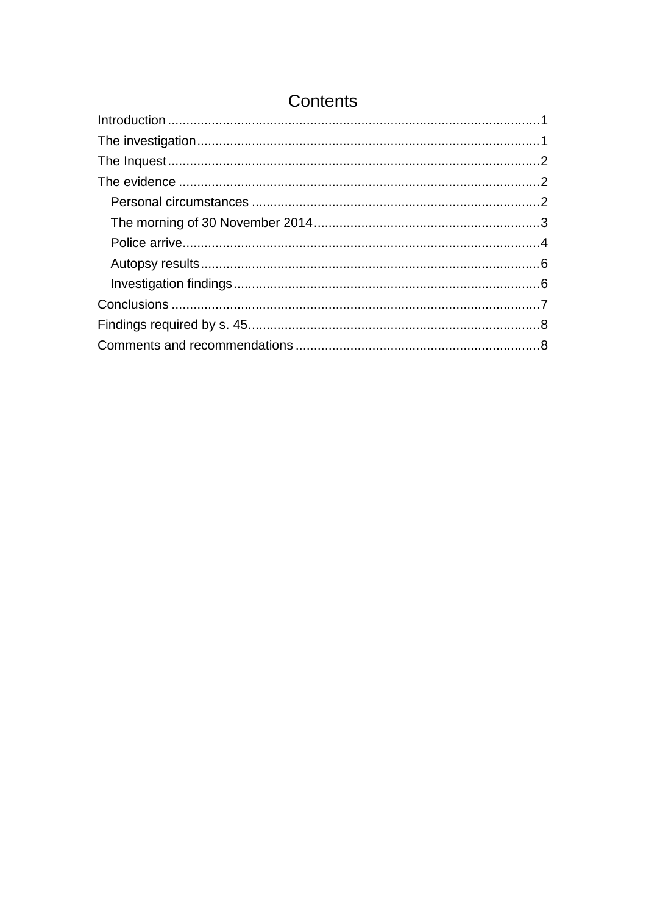# Contents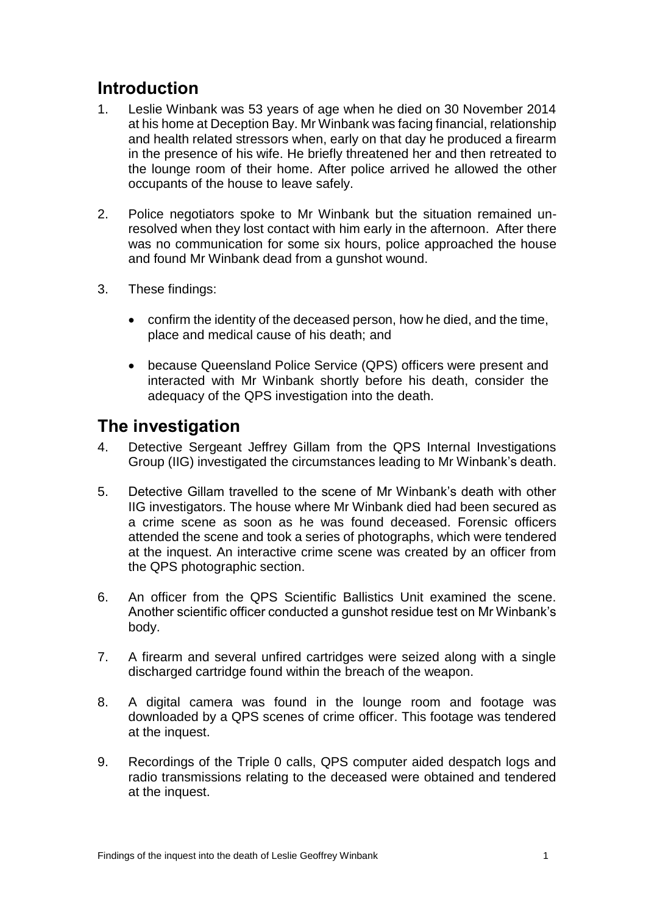# <span id="page-2-0"></span>**Introduction**

- 1. Leslie Winbank was 53 years of age when he died on 30 November 2014 at his home at Deception Bay. Mr Winbank was facing financial, relationship and health related stressors when, early on that day he produced a firearm in the presence of his wife. He briefly threatened her and then retreated to the lounge room of their home. After police arrived he allowed the other occupants of the house to leave safely.
- 2. Police negotiators spoke to Mr Winbank but the situation remained unresolved when they lost contact with him early in the afternoon. After there was no communication for some six hours, police approached the house and found Mr Winbank dead from a gunshot wound.
- 3. These findings:
	- confirm the identity of the deceased person, how he died, and the time, place and medical cause of his death; and
	- because Queensland Police Service (QPS) officers were present and interacted with Mr Winbank shortly before his death, consider the adequacy of the QPS investigation into the death.

### <span id="page-2-1"></span>**The investigation**

- 4. Detective Sergeant Jeffrey Gillam from the QPS Internal Investigations Group (IIG) investigated the circumstances leading to Mr Winbank's death.
- 5. Detective Gillam travelled to the scene of Mr Winbank's death with other IIG investigators. The house where Mr Winbank died had been secured as a crime scene as soon as he was found deceased. Forensic officers attended the scene and took a series of photographs, which were tendered at the inquest. An interactive crime scene was created by an officer from the QPS photographic section.
- 6. An officer from the QPS Scientific Ballistics Unit examined the scene. Another scientific officer conducted a gunshot residue test on Mr Winbank's body.
- 7. A firearm and several unfired cartridges were seized along with a single discharged cartridge found within the breach of the weapon.
- 8. A digital camera was found in the lounge room and footage was downloaded by a QPS scenes of crime officer. This footage was tendered at the inquest.
- 9. Recordings of the Triple 0 calls, QPS computer aided despatch logs and radio transmissions relating to the deceased were obtained and tendered at the inquest.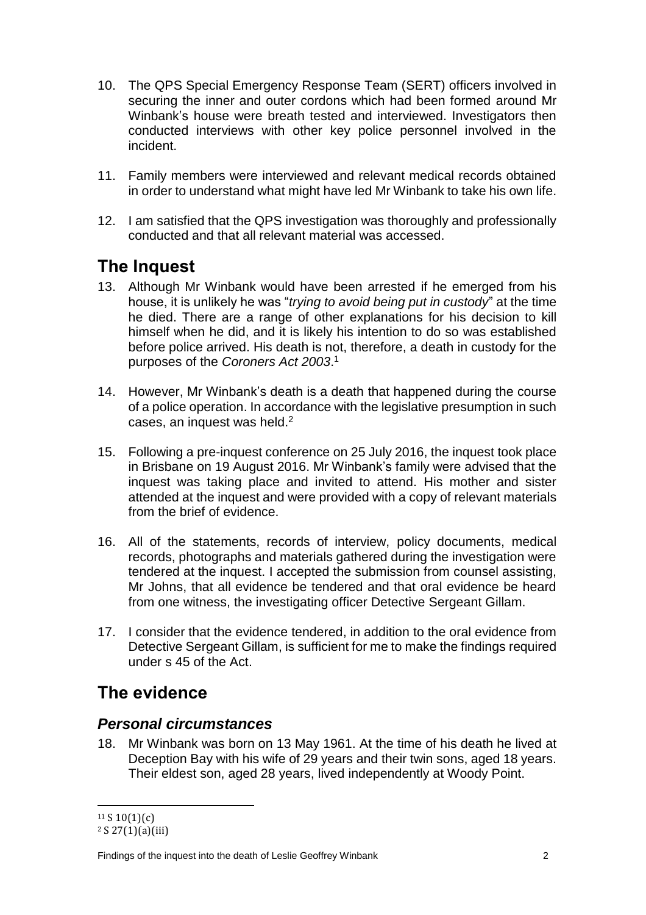- 10. The QPS Special Emergency Response Team (SERT) officers involved in securing the inner and outer cordons which had been formed around Mr Winbank's house were breath tested and interviewed. Investigators then conducted interviews with other key police personnel involved in the incident.
- 11. Family members were interviewed and relevant medical records obtained in order to understand what might have led Mr Winbank to take his own life.
- 12. I am satisfied that the QPS investigation was thoroughly and professionally conducted and that all relevant material was accessed.

# <span id="page-3-0"></span>**The Inquest**

- 13. Although Mr Winbank would have been arrested if he emerged from his house, it is unlikely he was "*trying to avoid being put in custody*" at the time he died. There are a range of other explanations for his decision to kill himself when he did, and it is likely his intention to do so was established before police arrived. His death is not, therefore, a death in custody for the purposes of the *Coroners Act 2003*. 1
- 14. However, Mr Winbank's death is a death that happened during the course of a police operation. In accordance with the legislative presumption in such cases, an inquest was held.<sup>2</sup>
- 15. Following a pre-inquest conference on 25 July 2016, the inquest took place in Brisbane on 19 August 2016. Mr Winbank's family were advised that the inquest was taking place and invited to attend. His mother and sister attended at the inquest and were provided with a copy of relevant materials from the brief of evidence.
- 16. All of the statements, records of interview, policy documents, medical records, photographs and materials gathered during the investigation were tendered at the inquest. I accepted the submission from counsel assisting, Mr Johns, that all evidence be tendered and that oral evidence be heard from one witness, the investigating officer Detective Sergeant Gillam.
- 17. I consider that the evidence tendered, in addition to the oral evidence from Detective Sergeant Gillam, is sufficient for me to make the findings required under s 45 of the Act.

# <span id="page-3-1"></span>**The evidence**

#### <span id="page-3-2"></span>*Personal circumstances*

18. Mr Winbank was born on 13 May 1961. At the time of his death he lived at Deception Bay with his wife of 29 years and their twin sons, aged 18 years. Their eldest son, aged 28 years, lived independently at Woody Point.

 $\overline{\phantom{a}}$  $11 S 10(1)(c)$ 

 $2 S 27(1)(a)(iii)$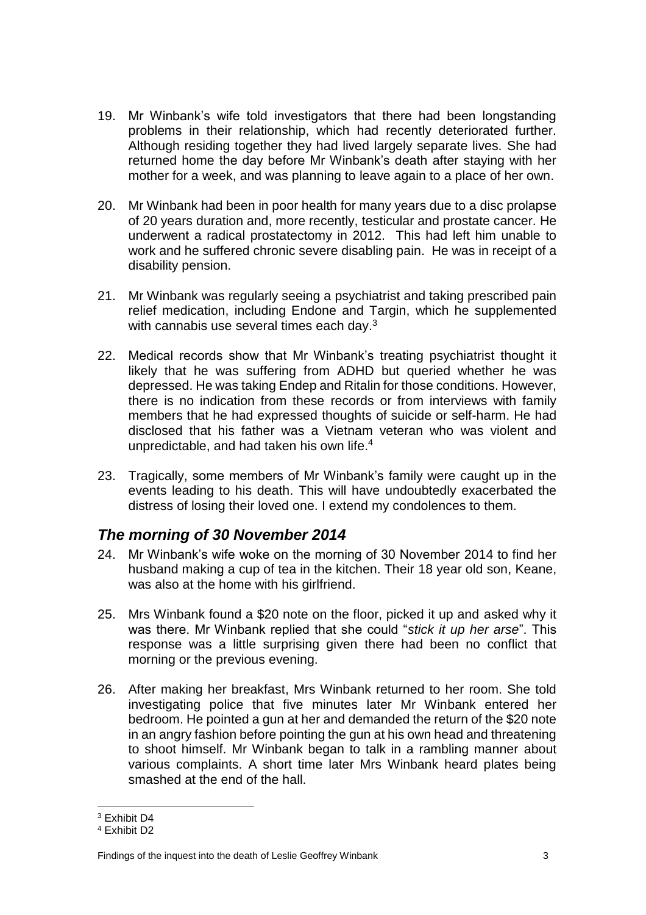- 19. Mr Winbank's wife told investigators that there had been longstanding problems in their relationship, which had recently deteriorated further. Although residing together they had lived largely separate lives. She had returned home the day before Mr Winbank's death after staying with her mother for a week, and was planning to leave again to a place of her own.
- 20. Mr Winbank had been in poor health for many years due to a disc prolapse of 20 years duration and, more recently, testicular and prostate cancer. He underwent a radical prostatectomy in 2012. This had left him unable to work and he suffered chronic severe disabling pain. He was in receipt of a disability pension.
- 21. Mr Winbank was regularly seeing a psychiatrist and taking prescribed pain relief medication, including Endone and Targin, which he supplemented with cannabis use several times each day. $^3$
- 22. Medical records show that Mr Winbank's treating psychiatrist thought it likely that he was suffering from ADHD but queried whether he was depressed. He was taking Endep and Ritalin for those conditions. However, there is no indication from these records or from interviews with family members that he had expressed thoughts of suicide or self-harm. He had disclosed that his father was a Vietnam veteran who was violent and unpredictable, and had taken his own life. 4
- 23. Tragically, some members of Mr Winbank's family were caught up in the events leading to his death. This will have undoubtedly exacerbated the distress of losing their loved one. I extend my condolences to them.

#### <span id="page-4-0"></span>*The morning of 30 November 2014*

- 24. Mr Winbank's wife woke on the morning of 30 November 2014 to find her husband making a cup of tea in the kitchen. Their 18 year old son, Keane, was also at the home with his girlfriend.
- 25. Mrs Winbank found a \$20 note on the floor, picked it up and asked why it was there. Mr Winbank replied that she could "*stick it up her arse*". This response was a little surprising given there had been no conflict that morning or the previous evening.
- 26. After making her breakfast, Mrs Winbank returned to her room. She told investigating police that five minutes later Mr Winbank entered her bedroom. He pointed a gun at her and demanded the return of the \$20 note in an angry fashion before pointing the gun at his own head and threatening to shoot himself. Mr Winbank began to talk in a rambling manner about various complaints. A short time later Mrs Winbank heard plates being smashed at the end of the hall.

 $\overline{\phantom{a}}$ <sup>3</sup> Exhibit D4

<sup>4</sup> Exhibit D2

Findings of the inquest into the death of Leslie Geoffrey Winbank 3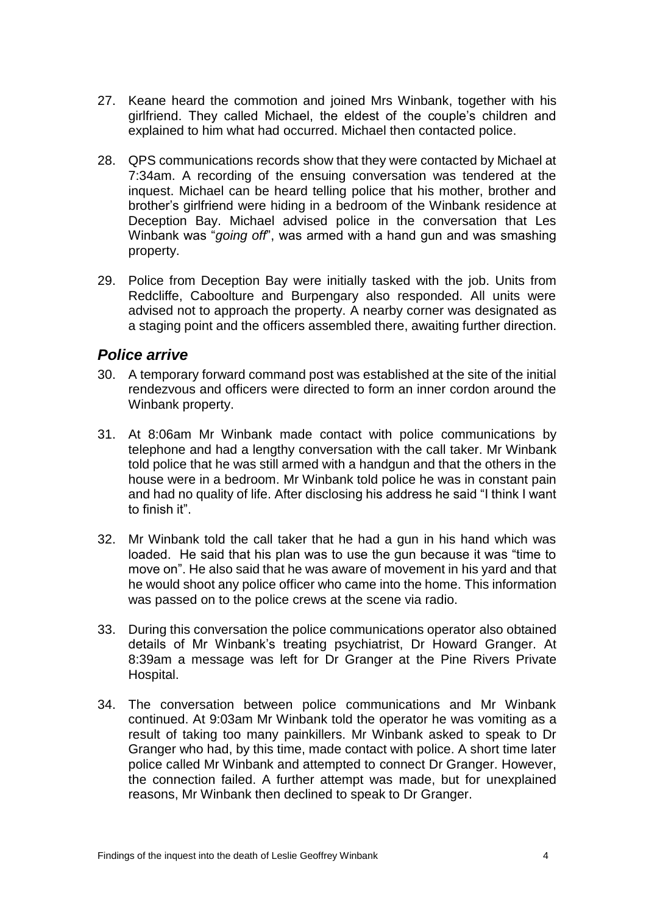- 27. Keane heard the commotion and joined Mrs Winbank, together with his girlfriend. They called Michael, the eldest of the couple's children and explained to him what had occurred. Michael then contacted police.
- 28. QPS communications records show that they were contacted by Michael at 7:34am. A recording of the ensuing conversation was tendered at the inquest. Michael can be heard telling police that his mother, brother and brother's girlfriend were hiding in a bedroom of the Winbank residence at Deception Bay. Michael advised police in the conversation that Les Winbank was "*going off*", was armed with a hand gun and was smashing property.
- 29. Police from Deception Bay were initially tasked with the job. Units from Redcliffe, Caboolture and Burpengary also responded. All units were advised not to approach the property. A nearby corner was designated as a staging point and the officers assembled there, awaiting further direction.

#### <span id="page-5-0"></span>*Police arrive*

- 30. A temporary forward command post was established at the site of the initial rendezvous and officers were directed to form an inner cordon around the Winbank property.
- 31. At 8:06am Mr Winbank made contact with police communications by telephone and had a lengthy conversation with the call taker. Mr Winbank told police that he was still armed with a handgun and that the others in the house were in a bedroom. Mr Winbank told police he was in constant pain and had no quality of life. After disclosing his address he said "I think I want to finish it".
- 32. Mr Winbank told the call taker that he had a gun in his hand which was loaded. He said that his plan was to use the gun because it was "time to move on". He also said that he was aware of movement in his yard and that he would shoot any police officer who came into the home. This information was passed on to the police crews at the scene via radio.
- 33. During this conversation the police communications operator also obtained details of Mr Winbank's treating psychiatrist, Dr Howard Granger. At 8:39am a message was left for Dr Granger at the Pine Rivers Private Hospital.
- 34. The conversation between police communications and Mr Winbank continued. At 9:03am Mr Winbank told the operator he was vomiting as a result of taking too many painkillers. Mr Winbank asked to speak to Dr Granger who had, by this time, made contact with police. A short time later police called Mr Winbank and attempted to connect Dr Granger. However, the connection failed. A further attempt was made, but for unexplained reasons, Mr Winbank then declined to speak to Dr Granger.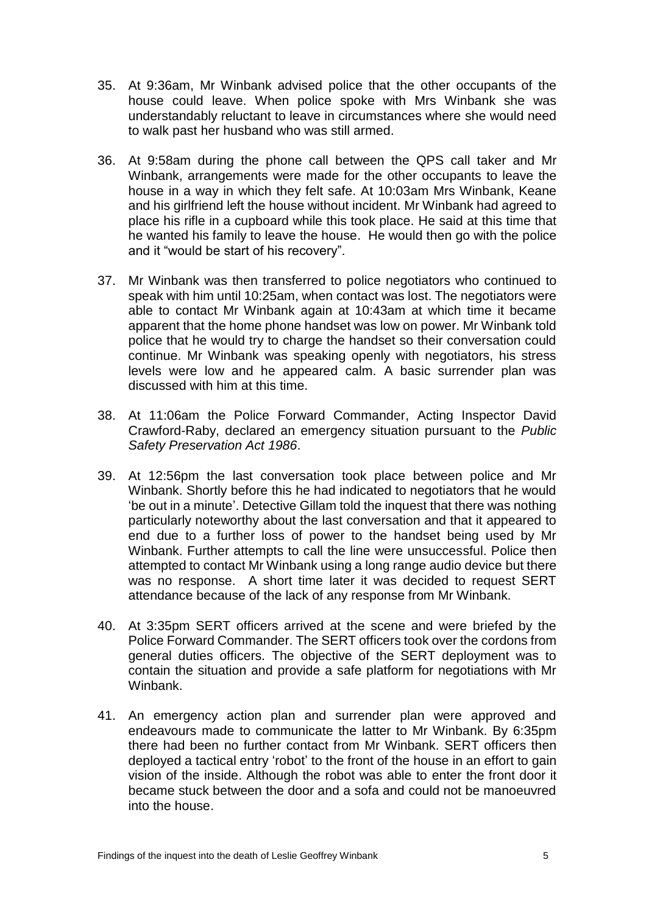- 35. At 9:36am, Mr Winbank advised police that the other occupants of the house could leave. When police spoke with Mrs Winbank she was understandably reluctant to leave in circumstances where she would need to walk past her husband who was still armed.
- 36. At 9:58am during the phone call between the QPS call taker and Mr Winbank, arrangements were made for the other occupants to leave the house in a way in which they felt safe. At 10:03am Mrs Winbank, Keane and his girlfriend left the house without incident. Mr Winbank had agreed to place his rifle in a cupboard while this took place. He said at this time that he wanted his family to leave the house. He would then go with the police and it "would be start of his recovery".
- 37. Mr Winbank was then transferred to police negotiators who continued to speak with him until 10:25am, when contact was lost. The negotiators were able to contact Mr Winbank again at 10:43am at which time it became apparent that the home phone handset was low on power. Mr Winbank told police that he would try to charge the handset so their conversation could continue. Mr Winbank was speaking openly with negotiators, his stress levels were low and he appeared calm. A basic surrender plan was discussed with him at this time.
- 38. At 11:06am the Police Forward Commander, Acting Inspector David Crawford-Raby, declared an emergency situation pursuant to the *Public Safety Preservation Act 1986*.
- 39. At 12:56pm the last conversation took place between police and Mr Winbank. Shortly before this he had indicated to negotiators that he would 'be out in a minute'. Detective Gillam told the inquest that there was nothing particularly noteworthy about the last conversation and that it appeared to end due to a further loss of power to the handset being used by Mr Winbank. Further attempts to call the line were unsuccessful. Police then attempted to contact Mr Winbank using a long range audio device but there was no response. A short time later it was decided to request SERT attendance because of the lack of any response from Mr Winbank.
- 40. At 3:35pm SERT officers arrived at the scene and were briefed by the Police Forward Commander. The SERT officers took over the cordons from general duties officers. The objective of the SERT deployment was to contain the situation and provide a safe platform for negotiations with Mr Winbank.
- 41. An emergency action plan and surrender plan were approved and endeavours made to communicate the latter to Mr Winbank. By 6:35pm there had been no further contact from Mr Winbank. SERT officers then deployed a tactical entry 'robot' to the front of the house in an effort to gain vision of the inside. Although the robot was able to enter the front door it became stuck between the door and a sofa and could not be manoeuvred into the house.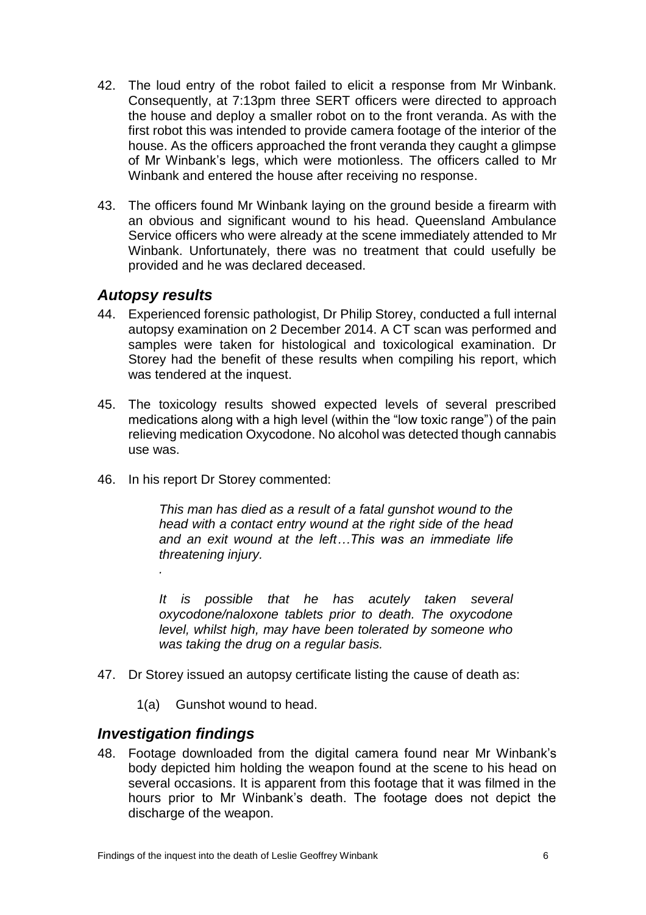- 42. The loud entry of the robot failed to elicit a response from Mr Winbank. Consequently, at 7:13pm three SERT officers were directed to approach the house and deploy a smaller robot on to the front veranda. As with the first robot this was intended to provide camera footage of the interior of the house. As the officers approached the front veranda they caught a glimpse of Mr Winbank's legs, which were motionless. The officers called to Mr Winbank and entered the house after receiving no response.
- 43. The officers found Mr Winbank laying on the ground beside a firearm with an obvious and significant wound to his head. Queensland Ambulance Service officers who were already at the scene immediately attended to Mr Winbank. Unfortunately, there was no treatment that could usefully be provided and he was declared deceased.

#### <span id="page-7-0"></span>*Autopsy results*

- 44. Experienced forensic pathologist, Dr Philip Storey, conducted a full internal autopsy examination on 2 December 2014. A CT scan was performed and samples were taken for histological and toxicological examination. Dr Storey had the benefit of these results when compiling his report, which was tendered at the inquest.
- 45. The toxicology results showed expected levels of several prescribed medications along with a high level (within the "low toxic range") of the pain relieving medication Oxycodone. No alcohol was detected though cannabis use was.
- 46. In his report Dr Storey commented:

*This man has died as a result of a fatal gunshot wound to the head with a contact entry wound at the right side of the head and an exit wound at the left…This was an immediate life threatening injury.*

*It is possible that he has acutely taken several oxycodone/naloxone tablets prior to death. The oxycodone level, whilst high, may have been tolerated by someone who was taking the drug on a regular basis.*

- 47. Dr Storey issued an autopsy certificate listing the cause of death as:
	- 1(a) Gunshot wound to head.

#### <span id="page-7-1"></span>*Investigation findings*

*.*

48. Footage downloaded from the digital camera found near Mr Winbank's body depicted him holding the weapon found at the scene to his head on several occasions. It is apparent from this footage that it was filmed in the hours prior to Mr Winbank's death. The footage does not depict the discharge of the weapon.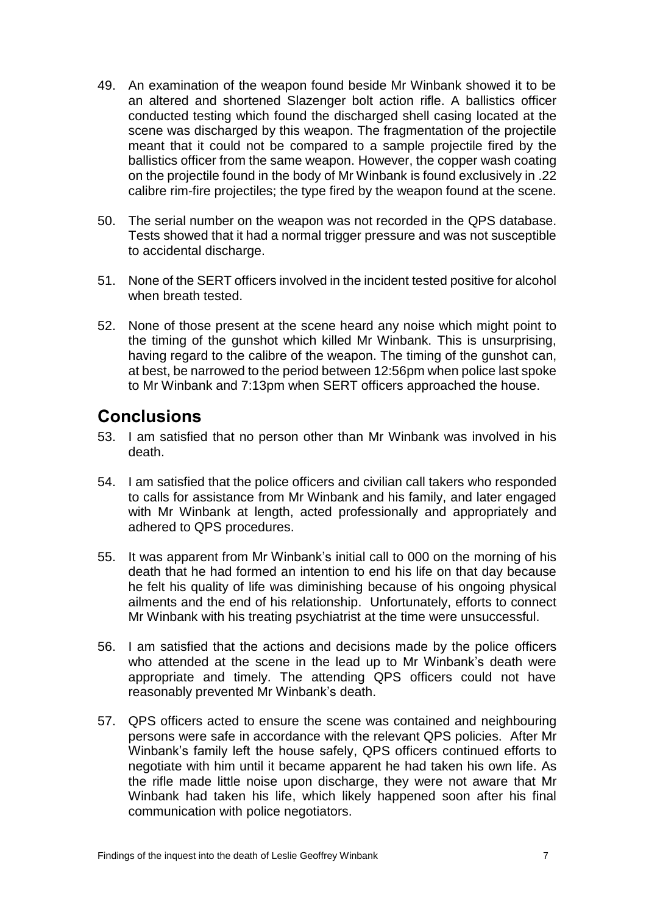- 49. An examination of the weapon found beside Mr Winbank showed it to be an altered and shortened Slazenger bolt action rifle. A ballistics officer conducted testing which found the discharged shell casing located at the scene was discharged by this weapon. The fragmentation of the projectile meant that it could not be compared to a sample projectile fired by the ballistics officer from the same weapon. However, the copper wash coating on the projectile found in the body of Mr Winbank is found exclusively in .22 calibre rim-fire projectiles; the type fired by the weapon found at the scene.
- 50. The serial number on the weapon was not recorded in the QPS database. Tests showed that it had a normal trigger pressure and was not susceptible to accidental discharge.
- 51. None of the SERT officers involved in the incident tested positive for alcohol when breath tested.
- 52. None of those present at the scene heard any noise which might point to the timing of the gunshot which killed Mr Winbank. This is unsurprising, having regard to the calibre of the weapon. The timing of the gunshot can, at best, be narrowed to the period between 12:56pm when police last spoke to Mr Winbank and 7:13pm when SERT officers approached the house.

### <span id="page-8-0"></span>**Conclusions**

- 53. I am satisfied that no person other than Mr Winbank was involved in his death.
- 54. I am satisfied that the police officers and civilian call takers who responded to calls for assistance from Mr Winbank and his family, and later engaged with Mr Winbank at length, acted professionally and appropriately and adhered to QPS procedures.
- 55. It was apparent from Mr Winbank's initial call to 000 on the morning of his death that he had formed an intention to end his life on that day because he felt his quality of life was diminishing because of his ongoing physical ailments and the end of his relationship. Unfortunately, efforts to connect Mr Winbank with his treating psychiatrist at the time were unsuccessful.
- 56. I am satisfied that the actions and decisions made by the police officers who attended at the scene in the lead up to Mr Winbank's death were appropriate and timely. The attending QPS officers could not have reasonably prevented Mr Winbank's death.
- 57. QPS officers acted to ensure the scene was contained and neighbouring persons were safe in accordance with the relevant QPS policies. After Mr Winbank's family left the house safely, QPS officers continued efforts to negotiate with him until it became apparent he had taken his own life. As the rifle made little noise upon discharge, they were not aware that Mr Winbank had taken his life, which likely happened soon after his final communication with police negotiators.